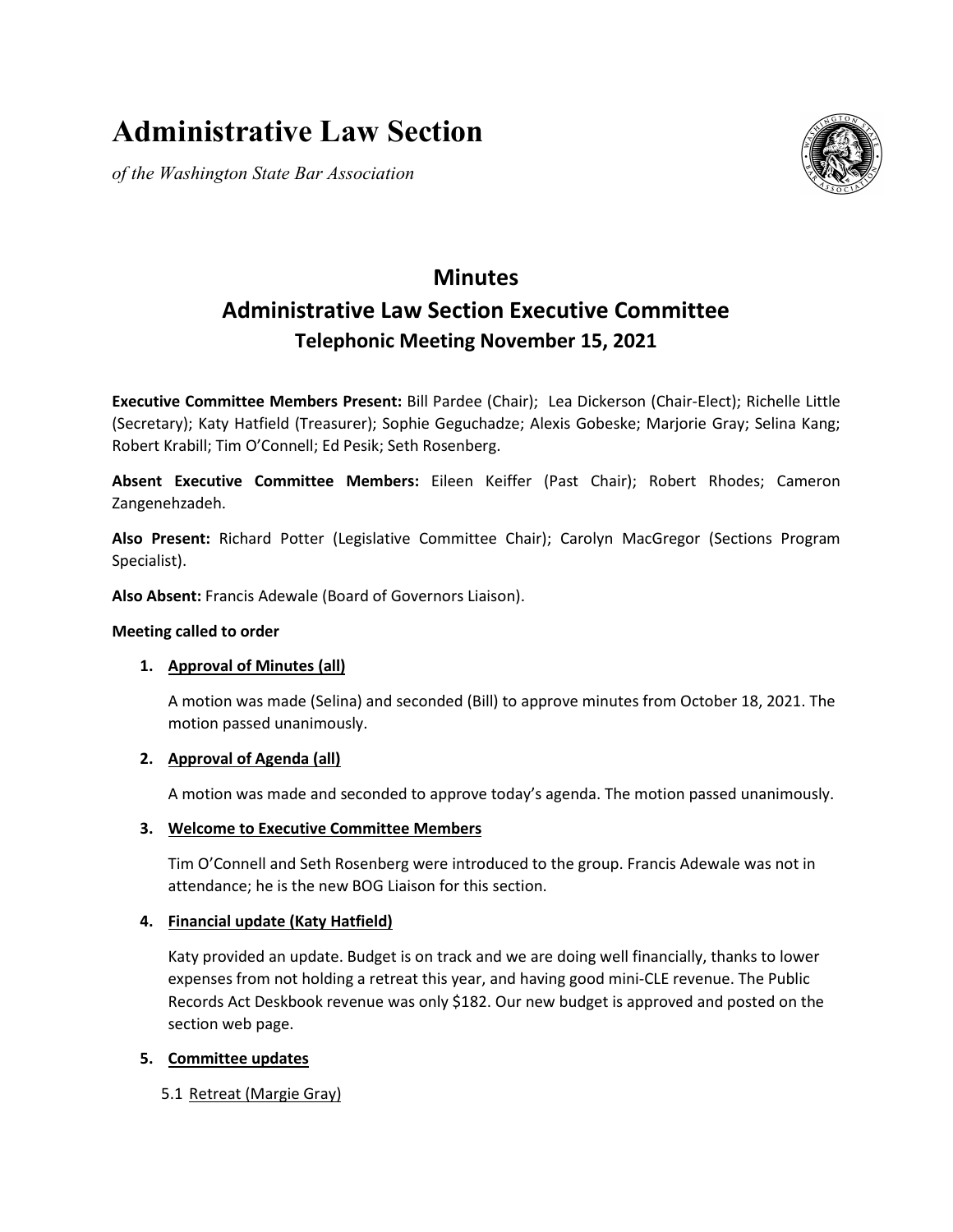# **Administrative Law Section**

*of the Washington State Bar Association*



# **Minutes Administrative Law Section Executive Committee Telephonic Meeting November 15, 2021**

**Executive Committee Members Present:** Bill Pardee (Chair); Lea Dickerson (Chair-Elect); Richelle Little (Secretary); Katy Hatfield (Treasurer); Sophie Geguchadze; Alexis Gobeske; Marjorie Gray; Selina Kang; Robert Krabill; Tim O'Connell; Ed Pesik; Seth Rosenberg.

**Absent Executive Committee Members:** Eileen Keiffer (Past Chair); Robert Rhodes; Cameron Zangenehzadeh.

**Also Present:** Richard Potter (Legislative Committee Chair); Carolyn MacGregor (Sections Program Specialist).

**Also Absent:** Francis Adewale (Board of Governors Liaison).

# **Meeting called to order**

# **1. Approval of Minutes (all)**

A motion was made (Selina) and seconded (Bill) to approve minutes from October 18, 2021. The motion passed unanimously.

# **2. Approval of Agenda (all)**

A motion was made and seconded to approve today's agenda. The motion passed unanimously.

# **3. Welcome to Executive Committee Members**

Tim O'Connell and Seth Rosenberg were introduced to the group. Francis Adewale was not in attendance; he is the new BOG Liaison for this section.

# **4. Financial update (Katy Hatfield)**

Katy provided an update. Budget is on track and we are doing well financially, thanks to lower expenses from not holding a retreat this year, and having good mini-CLE revenue. The Public Records Act Deskbook revenue was only \$182. Our new budget is approved and posted on the section web page.

# **5. Committee updates**

5.1 Retreat (Margie Gray)